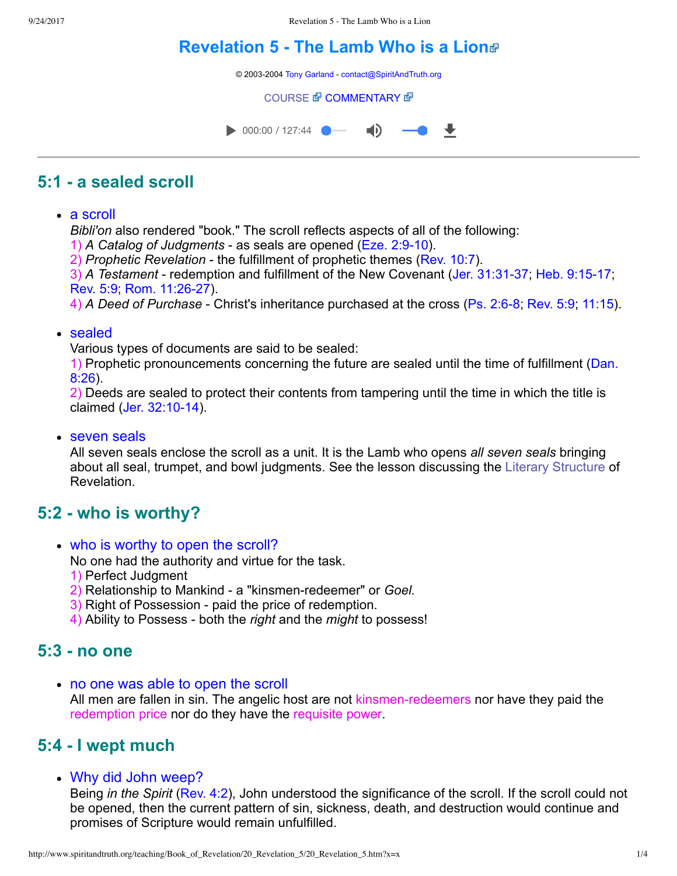# **[Revelation 5 The Lamb Who is a Lion](http://www.spiritandtruth.org/teaching/Book_of_Revelation/20_Revelation_5/index.htm)**

© 2003-2004 [Tony Garland](http://www.spiritandtruth.org/teaching/teachers/tony_garland/bio.htm) - [contact@SpiritAndTruth.org](mailto:contact@SpiritAndTruth.org?subject=ST-MAIL:%20Revelation%205%20-%20The%20Lamb%20Who%20is%20a%20Lion)

**[COURSE](http://www.spiritandtruth.org/teaching/Book_of_Revelation/20_Revelation_5/index.htm) 图 [COMMENTARY](http://www.spiritandtruth.org/teaching/Book_of_Revelation/commentary/htm/index.html?Revelation_5) 图** 



# **5:1 a sealed scroll**

• a scroll

*Bibli'on* also rendered "book." The scroll reflects aspects of all of the following:

1) *A Catalog of Judgments*  as seals are opened ([Eze. 2:910](http://www.spiritandtruth.org/bibles/nasb/b26c002.htm#Eze._C2V9)).

2) *Prophetic Revelation*  the fulfillment of prophetic themes ([Rev. 10:7\)](http://www.spiritandtruth.org/bibles/nasb/b66c010.htm#Rev._C10V7).

3) *A Testament* - redemption and fulfillment of the New Covenant (Jer. 31:31-37; Heb. 9:15-17; [Rev. 5:9](http://www.spiritandtruth.org/bibles/nasb/b66c005.htm#Rev._C5V9); Rom. 11:26-27).

4) *A Deed of Purchase* - Christ's inheritance purchased at the cross (Ps. 2:6-8; [Rev. 5:9](http://www.spiritandtruth.org/bibles/nasb/b66c005.htm#Rev._C5V9); [11:15](http://www.spiritandtruth.org/bibles/nasb/b66c011.htm#Rev._C11V15)).

#### • sealed

Various types of documents are said to be sealed:

[1\) Prophetic pronouncements concerning the future are sealed until the time of fulfillment \(Dan.](http://www.spiritandtruth.org/bibles/nasb/b27c008.htm#Dan._C8V26) 8:26).

2) Deeds are sealed to protect their contents from tampering until the time in which the title is claimed (Jer. 32:10-14).

• seven seals

All seven seals enclose the scroll as a unit. It is the Lamb who opens *all seven seals* bringing about all seal, trumpet, and bowl judgments. See the lesson discussing the [Literary Structure](http://www.spiritandtruth.org/teaching/Book_of_Revelation/05_introduction/index.htm) of Revelation.

# **5:2 who is worthy?**

who is worthy to open the scroll?

No one had the authority and virtue for the task.

- 1) Perfect Judgment
- 2) Relationship to Mankind a "kinsmen-redeemer" or *Goel.*
- 3) Right of Possession paid the price of redemption.
- 4) Ability to Possess both the *right* and the *might* to possess!

# **5:3 no one**

• no one was able to open the scroll

All men are fallen in sin. The angelic host are not kinsmen-redeemers nor have they paid the redemption price nor do they have the requisite power.

# **5:4 I wept much**

Why did John weep?

Being *in the Spirit* [\(Rev. 4:2\)](http://www.spiritandtruth.org/bibles/nasb/b66c004.htm#Rev._C4V2), John understood the significance of the scroll. If the scroll could not be opened, then the current pattern of sin, sickness, death, and destruction would continue and promises of Scripture would remain unfulfilled.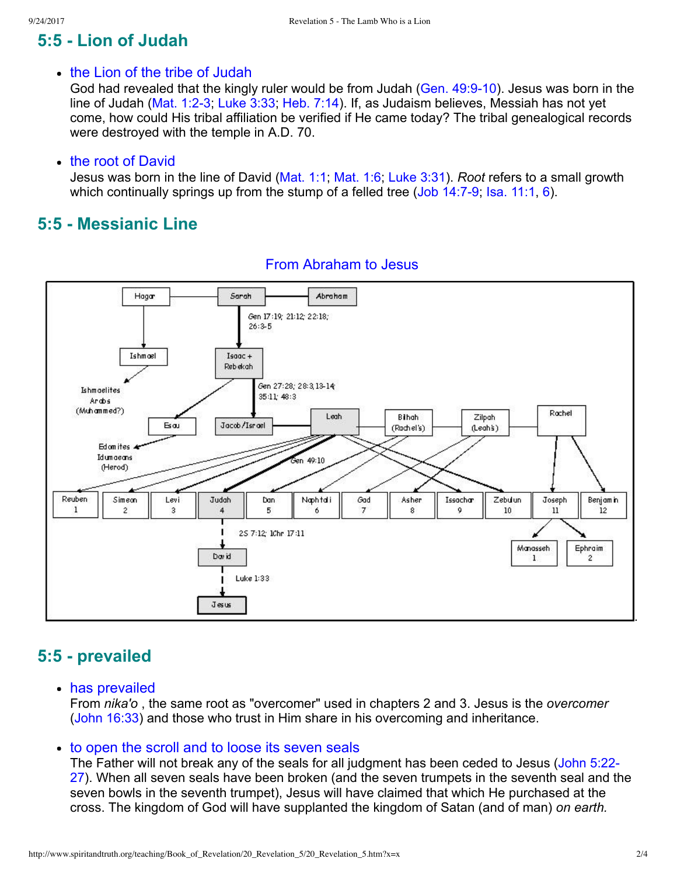# **5:5 Lion of Judah**

#### • the Lion of the tribe of Judah

God had revealed that the kingly ruler would be from Judah (Gen. 49:9-10). Jesus was born in the line of Judah (Mat. 1:2-3; [Luke 3:33](http://www.spiritandtruth.org/bibles/nasb/b42c003.htm#Luke_C3V33); [Heb. 7:14\)](http://www.spiritandtruth.org/bibles/nasb/b58c007.htm#Heb._C7V14). If, as Judaism believes, Messiah has not yet come, how could His tribal affiliation be verified if He came today? The tribal genealogical records were destroyed with the temple in A.D. 70.

#### • the root of David

Jesus was born in the line of David [\(Mat. 1:1;](http://www.spiritandtruth.org/bibles/nasb/b40c001.htm#Mat._C1V1) [Mat. 1:6;](http://www.spiritandtruth.org/bibles/nasb/b40c001.htm#Mat._C1V6) [Luke 3:31\)](http://www.spiritandtruth.org/bibles/nasb/b42c003.htm#Luke_C3V31). *Root* refers to a small growth which continually springs up from the stump of a felled tree (Job  $14:7-9$ ; Isa.  $11:1, 6$  $11:1, 6$ ).

# **5:5 Messianic Line**



### From Abraham to Jesus

# **5:5 prevailed**

has prevailed

From *nika'o* , the same root as "overcomer" used in chapters 2 and 3. Jesus is the *overcomer* [\(John 16:33\)](http://www.spiritandtruth.org/bibles/nasb/b43c016.htm#John_C16V33) and those who trust in Him share in his overcoming and inheritance.

#### to open the scroll and to loose its seven seals

[The Father will not break any of the seals for all judgment has been ceded to Jesus \(John 5:22](http://www.spiritandtruth.org/bibles/nasb/b43c005.htm#John_C5V22) 27). When all seven seals have been broken (and the seven trumpets in the seventh seal and the seven bowls in the seventh trumpet), Jesus will have claimed that which He purchased at the cross. The kingdom of God will have supplanted the kingdom of Satan (and of man) *on earth.*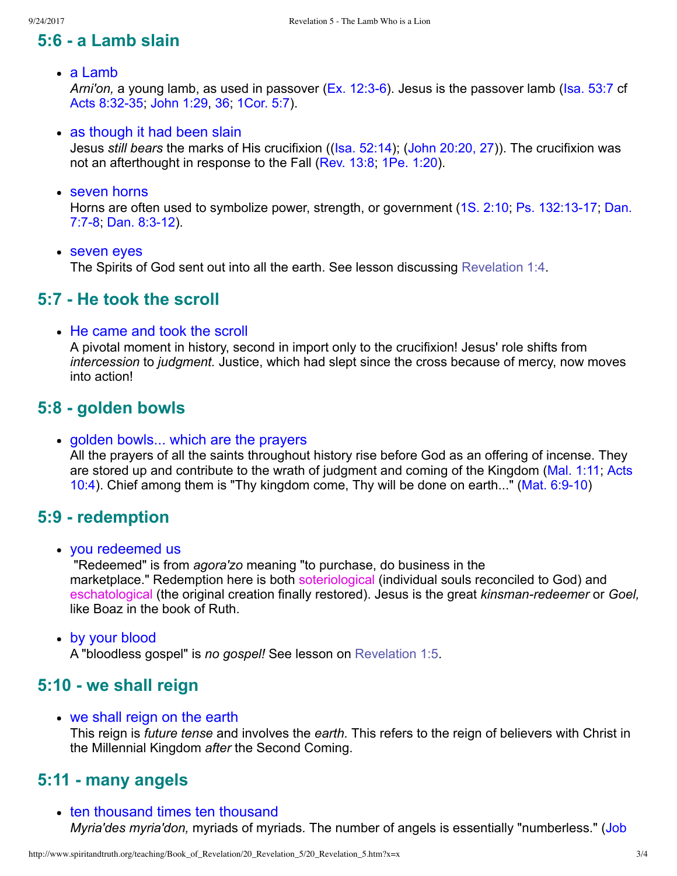# **5:6 a Lamb slain**

a Lamb

*Arni'on, a young lamb, as used in passover (Ex. 12:3-6). Jesus is the passover lamb ([Isa. 53:7](http://www.spiritandtruth.org/bibles/nasb/b23c053.htm#Isa._C53V7) cf.* Acts 8:32-35; [John 1:29](http://www.spiritandtruth.org/bibles/nasb/b43c001.htm#John_C1V29), [36;](http://www.spiritandtruth.org/bibles/nasb/b43c001.htm#John_C1V36) [1Cor. 5:7\)](http://www.spiritandtruth.org/bibles/nasb/b46c005.htm#1Cor._C5V7).

• as though it had been slain

Jesus *still bears* the marks of His crucifixion (([Isa. 52:14\)](http://www.spiritandtruth.org/bibles/nasb/b23c052.htm#Isa._C52V14); [\(John 20:20, 27](http://www.spiritandtruth.org/bibles/nasb/b43c020.htm#John_C20V20))). The crucifixion was not an afterthought in response to the Fall [\(Rev. 13:8;](http://www.spiritandtruth.org/bibles/nasb/b66c013.htm#Rev._C13V8) [1Pe. 1:20\)](http://www.spiritandtruth.org/bibles/nasb/b60c001.htm#1Pe._C1V20).

seven horns

Horns are often used to symbolize power, strength, or government (1S. 2:10; Ps. 132:13-17; Dan. 7:7-8; Dan. 8:3-12).

seven eyes

The Spirits of God sent out into all the earth. See lesson discussing [Revelation 1:4.](http://www.spiritandtruth.org/teaching/Book_of_Revelation/11_Revelation_1_3-4/index.htm)

# **5:7 He took the scroll**

• He came and took the scroll

A pivotal moment in history, second in import only to the crucifixion! Jesus' role shifts from *intercession* to *judgment.* Justice, which had slept since the cross because of mercy, now moves into action!

# **5:8 golden bowls**

#### golden bowls... which are the prayers

All the prayers of all the saints throughout history rise before God as an offering of incense. They [are stored up and contribute to the wrath of judgment and coming of the Kingdom \(Mal. 1:11; Acts](http://www.spiritandtruth.org/bibles/nasb/b44c010.htm#Acts_C10V4) 10:4). Chief among them is "Thy kingdom come, Thy will be done on earth..." (Mat. 6:9-10)

# **5:9 redemption**

you redeemed us

 "Redeemed" is from *agora'zo* meaning "to purchase, do business in the marketplace." Redemption here is both soteriological (individual souls reconciled to God) and eschatological (the original creation finally restored). Jesus is the great *kinsmanredeemer* or *Goel,* like Boaz in the book of Ruth.

by your blood

A "bloodless gospel" is *no gospel!* See lesson on [Revelation 1:5.](http://www.spiritandtruth.org/teaching/Book_of_Revelation/12_Revelation_1_5-11/index.htm)

# **5:10 we shall reign**

we shall reign on the earth

This reign is *future tense* and involves the *earth.* This refers to the reign of believers with Christ in the Millennial Kingdom *after* the Second Coming.

# **5:11 many angels**

• ten thousand times ten thousand *Myria'des myria'don,* [myriads of myriads. The number of angels is essentially "numberless." \(Job](http://www.spiritandtruth.org/bibles/nasb/b18c025.htm#Job_C25V3)